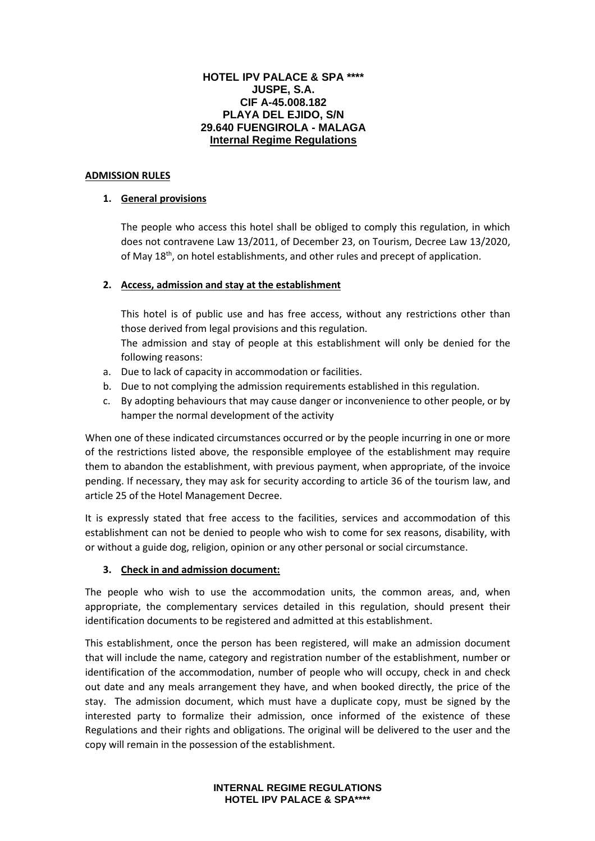#### **HOTEL IPV PALACE & SPA \*\*\*\* JUSPE, S.A. CIF A-45.008.182 PLAYA DEL EJIDO, S/N 29.640 FUENGIROLA - MALAGA Internal Regime Regulations**

#### **ADMISSION RULES**

## **1. General provisions**

The people who access this hotel shall be obliged to comply this regulation, in which does not contravene Law 13/2011, of December 23, on Tourism, Decree Law 13/2020, of May 18<sup>th</sup>, on hotel establishments, and other rules and precept of application.

#### **2. Access, admission and stay at the establishment**

This hotel is of public use and has free access, without any restrictions other than those derived from legal provisions and this regulation.

The admission and stay of people at this establishment will only be denied for the following reasons:

- a. Due to lack of capacity in accommodation or facilities.
- b. Due to not complying the admission requirements established in this regulation.
- c. By adopting behaviours that may cause danger or inconvenience to other people, or by hamper the normal development of the activity

When one of these indicated circumstances occurred or by the people incurring in one or more of the restrictions listed above, the responsible employee of the establishment may require them to abandon the establishment, with previous payment, when appropriate, of the invoice pending. If necessary, they may ask for security according to article 36 of the tourism law, and article 25 of the Hotel Management Decree.

It is expressly stated that free access to the facilities, services and accommodation of this establishment can not be denied to people who wish to come for sex reasons, disability, with or without a guide dog, religion, opinion or any other personal or social circumstance.

#### **3. Check in and admission document:**

The people who wish to use the accommodation units, the common areas, and, when appropriate, the complementary services detailed in this regulation, should present their identification documents to be registered and admitted at this establishment.

This establishment, once the person has been registered, will make an admission document that will include the name, category and registration number of the establishment, number or identification of the accommodation, number of people who will occupy, check in and check out date and any meals arrangement they have, and when booked directly, the price of the stay. The admission document, which must have a duplicate copy, must be signed by the interested party to formalize their admission, once informed of the existence of these Regulations and their rights and obligations. The original will be delivered to the user and the copy will remain in the possession of the establishment.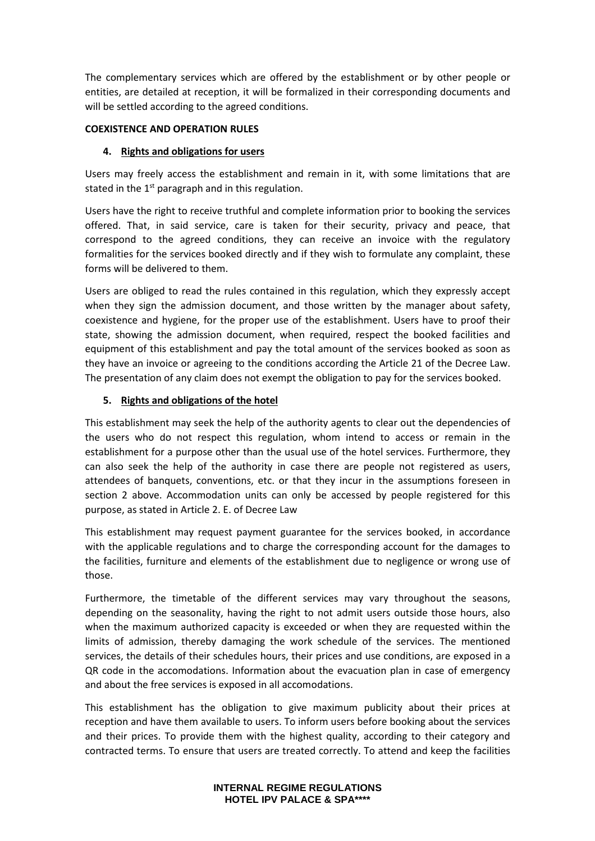The complementary services which are offered by the establishment or by other people or entities, are detailed at reception, it will be formalized in their corresponding documents and will be settled according to the agreed conditions.

## **COEXISTENCE AND OPERATION RULES**

## **4. Rights and obligations for users**

Users may freely access the establishment and remain in it, with some limitations that are stated in the  $1<sup>st</sup>$  paragraph and in this regulation.

Users have the right to receive truthful and complete information prior to booking the services offered. That, in said service, care is taken for their security, privacy and peace, that correspond to the agreed conditions, they can receive an invoice with the regulatory formalities for the services booked directly and if they wish to formulate any complaint, these forms will be delivered to them.

Users are obliged to read the rules contained in this regulation, which they expressly accept when they sign the admission document, and those written by the manager about safety, coexistence and hygiene, for the proper use of the establishment. Users have to proof their state, showing the admission document, when required, respect the booked facilities and equipment of this establishment and pay the total amount of the services booked as soon as they have an invoice or agreeing to the conditions according the Article 21 of the Decree Law. The presentation of any claim does not exempt the obligation to pay for the services booked.

# **5. Rights and obligations of the hotel**

This establishment may seek the help of the authority agents to clear out the dependencies of the users who do not respect this regulation, whom intend to access or remain in the establishment for a purpose other than the usual use of the hotel services. Furthermore, they can also seek the help of the authority in case there are people not registered as users, attendees of banquets, conventions, etc. or that they incur in the assumptions foreseen in section 2 above. Accommodation units can only be accessed by people registered for this purpose, as stated in Article 2. E. of Decree Law

This establishment may request payment guarantee for the services booked, in accordance with the applicable regulations and to charge the corresponding account for the damages to the facilities, furniture and elements of the establishment due to negligence or wrong use of those.

Furthermore, the timetable of the different services may vary throughout the seasons, depending on the seasonality, having the right to not admit users outside those hours, also when the maximum authorized capacity is exceeded or when they are requested within the limits of admission, thereby damaging the work schedule of the services. The mentioned services, the details of their schedules hours, their prices and use conditions, are exposed in a QR code in the accomodations. Information about the evacuation plan in case of emergency and about the free services is exposed in all accomodations.

This establishment has the obligation to give maximum publicity about their prices at reception and have them available to users. To inform users before booking about the services and their prices. To provide them with the highest quality, according to their category and contracted terms. To ensure that users are treated correctly. To attend and keep the facilities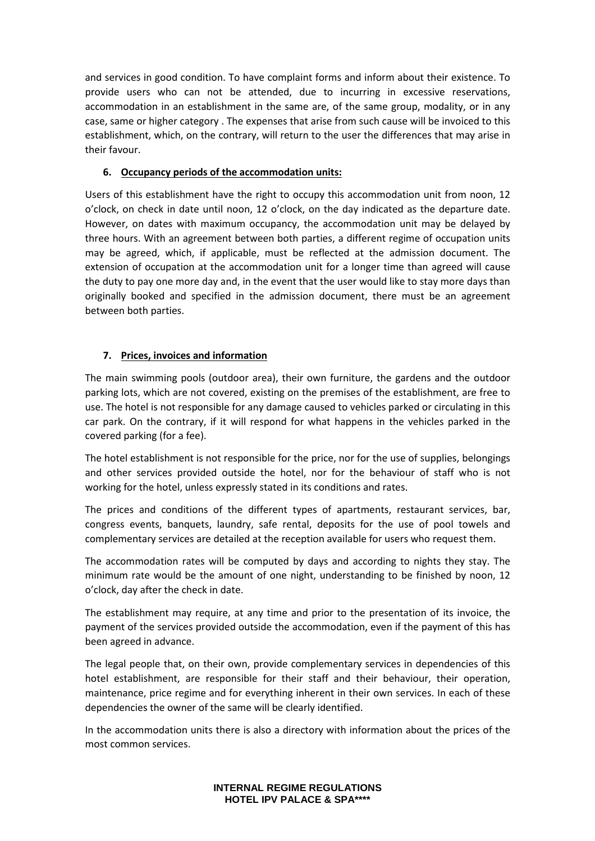and services in good condition. To have complaint forms and inform about their existence. To provide users who can not be attended, due to incurring in excessive reservations, accommodation in an establishment in the same are, of the same group, modality, or in any case, same or higher category . The expenses that arise from such cause will be invoiced to this establishment, which, on the contrary, will return to the user the differences that may arise in their favour.

# **6. Occupancy periods of the accommodation units:**

Users of this establishment have the right to occupy this accommodation unit from noon, 12 o'clock, on check in date until noon, 12 o'clock, on the day indicated as the departure date. However, on dates with maximum occupancy, the accommodation unit may be delayed by three hours. With an agreement between both parties, a different regime of occupation units may be agreed, which, if applicable, must be reflected at the admission document. The extension of occupation at the accommodation unit for a longer time than agreed will cause the duty to pay one more day and, in the event that the user would like to stay more days than originally booked and specified in the admission document, there must be an agreement between both parties.

# **7. Prices, invoices and information**

The main swimming pools (outdoor area), their own furniture, the gardens and the outdoor parking lots, which are not covered, existing on the premises of the establishment, are free to use. The hotel is not responsible for any damage caused to vehicles parked or circulating in this car park. On the contrary, if it will respond for what happens in the vehicles parked in the covered parking (for a fee).

The hotel establishment is not responsible for the price, nor for the use of supplies, belongings and other services provided outside the hotel, nor for the behaviour of staff who is not working for the hotel, unless expressly stated in its conditions and rates.

The prices and conditions of the different types of apartments, restaurant services, bar, congress events, banquets, laundry, safe rental, deposits for the use of pool towels and complementary services are detailed at the reception available for users who request them.

The accommodation rates will be computed by days and according to nights they stay. The minimum rate would be the amount of one night, understanding to be finished by noon, 12 o'clock, day after the check in date.

The establishment may require, at any time and prior to the presentation of its invoice, the payment of the services provided outside the accommodation, even if the payment of this has been agreed in advance.

The legal people that, on their own, provide complementary services in dependencies of this hotel establishment, are responsible for their staff and their behaviour, their operation, maintenance, price regime and for everything inherent in their own services. In each of these dependencies the owner of the same will be clearly identified.

In the accommodation units there is also a directory with information about the prices of the most common services.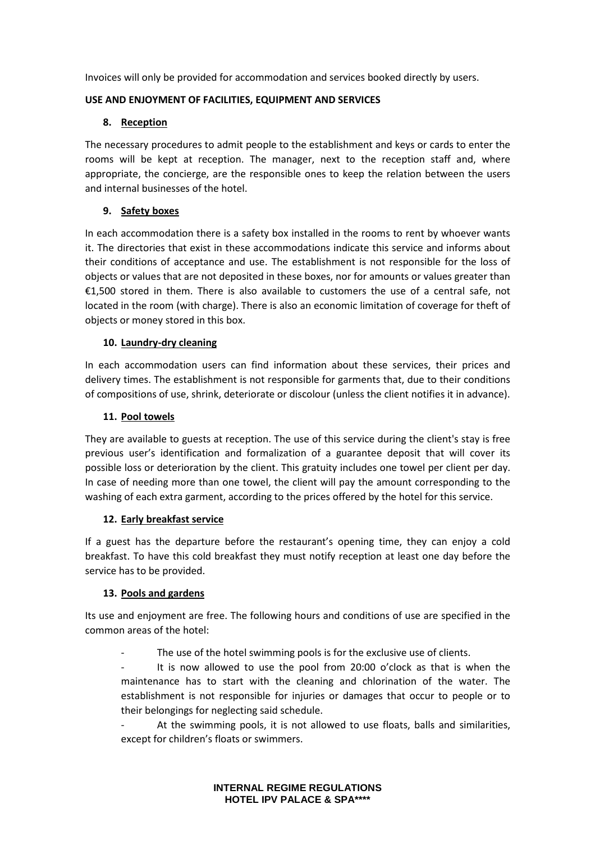Invoices will only be provided for accommodation and services booked directly by users.

## **USE AND ENJOYMENT OF FACILITIES, EQUIPMENT AND SERVICES**

## **8. Reception**

The necessary procedures to admit people to the establishment and keys or cards to enter the rooms will be kept at reception. The manager, next to the reception staff and, where appropriate, the concierge, are the responsible ones to keep the relation between the users and internal businesses of the hotel.

## **9. Safety boxes**

In each accommodation there is a safety box installed in the rooms to rent by whoever wants it. The directories that exist in these accommodations indicate this service and informs about their conditions of acceptance and use. The establishment is not responsible for the loss of objects or values that are not deposited in these boxes, nor for amounts or values greater than €1,500 stored in them. There is also available to customers the use of a central safe, not located in the room (with charge). There is also an economic limitation of coverage for theft of objects or money stored in this box.

#### **10. Laundry-dry cleaning**

In each accommodation users can find information about these services, their prices and delivery times. The establishment is not responsible for garments that, due to their conditions of compositions of use, shrink, deteriorate or discolour (unless the client notifies it in advance).

#### **11. Pool towels**

They are available to guests at reception. The use of this service during the client's stay is free previous user's identification and formalization of a guarantee deposit that will cover its possible loss or deterioration by the client. This gratuity includes one towel per client per day. In case of needing more than one towel, the client will pay the amount corresponding to the washing of each extra garment, according to the prices offered by the hotel for this service.

#### **12. Early breakfast service**

If a guest has the departure before the restaurant's opening time, they can enjoy a cold breakfast. To have this cold breakfast they must notify reception at least one day before the service has to be provided.

# **13. Pools and gardens**

Its use and enjoyment are free. The following hours and conditions of use are specified in the common areas of the hotel:

The use of the hotel swimming pools is for the exclusive use of clients.

It is now allowed to use the pool from 20:00 o'clock as that is when the maintenance has to start with the cleaning and chlorination of the water. The establishment is not responsible for injuries or damages that occur to people or to their belongings for neglecting said schedule.

At the swimming pools, it is not allowed to use floats, balls and similarities, except for children's floats or swimmers.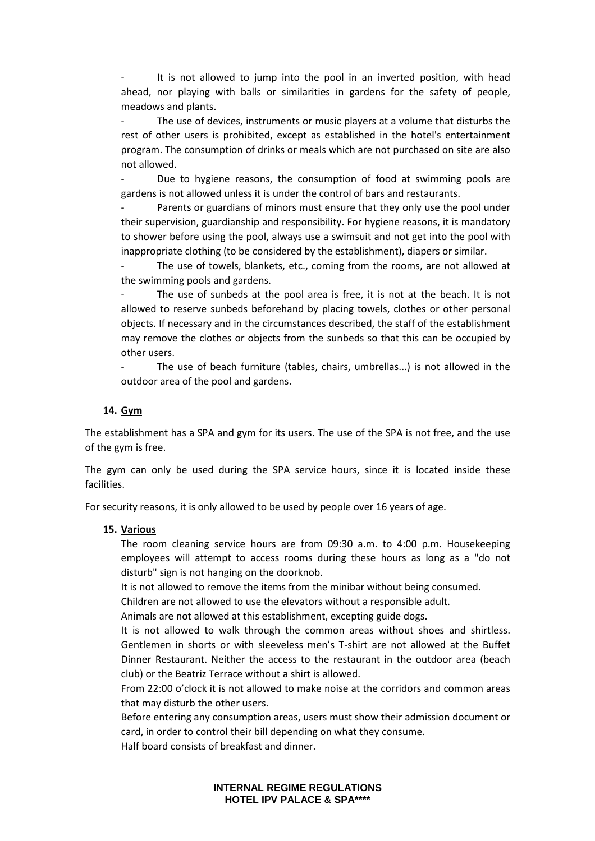It is not allowed to jump into the pool in an inverted position, with head ahead, nor playing with balls or similarities in gardens for the safety of people, meadows and plants.

The use of devices, instruments or music players at a volume that disturbs the rest of other users is prohibited, except as established in the hotel's entertainment program. The consumption of drinks or meals which are not purchased on site are also not allowed.

Due to hygiene reasons, the consumption of food at swimming pools are gardens is not allowed unless it is under the control of bars and restaurants.

Parents or guardians of minors must ensure that they only use the pool under their supervision, guardianship and responsibility. For hygiene reasons, it is mandatory to shower before using the pool, always use a swimsuit and not get into the pool with inappropriate clothing (to be considered by the establishment), diapers or similar.

- The use of towels, blankets, etc., coming from the rooms, are not allowed at the swimming pools and gardens.

The use of sunbeds at the pool area is free, it is not at the beach. It is not allowed to reserve sunbeds beforehand by placing towels, clothes or other personal objects. If necessary and in the circumstances described, the staff of the establishment may remove the clothes or objects from the sunbeds so that this can be occupied by other users.

- The use of beach furniture (tables, chairs, umbrellas...) is not allowed in the outdoor area of the pool and gardens.

#### **14. Gym**

The establishment has a SPA and gym for its users. The use of the SPA is not free, and the use of the gym is free.

The gym can only be used during the SPA service hours, since it is located inside these facilities.

For security reasons, it is only allowed to be used by people over 16 years of age.

#### **15. Various**

The room cleaning service hours are from 09:30 a.m. to 4:00 p.m. Housekeeping employees will attempt to access rooms during these hours as long as a "do not disturb" sign is not hanging on the doorknob.

It is not allowed to remove the items from the minibar without being consumed.

Children are not allowed to use the elevators without a responsible adult.

Animals are not allowed at this establishment, excepting guide dogs.

It is not allowed to walk through the common areas without shoes and shirtless. Gentlemen in shorts or with sleeveless men's T-shirt are not allowed at the Buffet Dinner Restaurant. Neither the access to the restaurant in the outdoor area (beach club) or the Beatriz Terrace without a shirt is allowed.

From 22:00 o'clock it is not allowed to make noise at the corridors and common areas that may disturb the other users.

Before entering any consumption areas, users must show their admission document or card, in order to control their bill depending on what they consume.

Half board consists of breakfast and dinner.